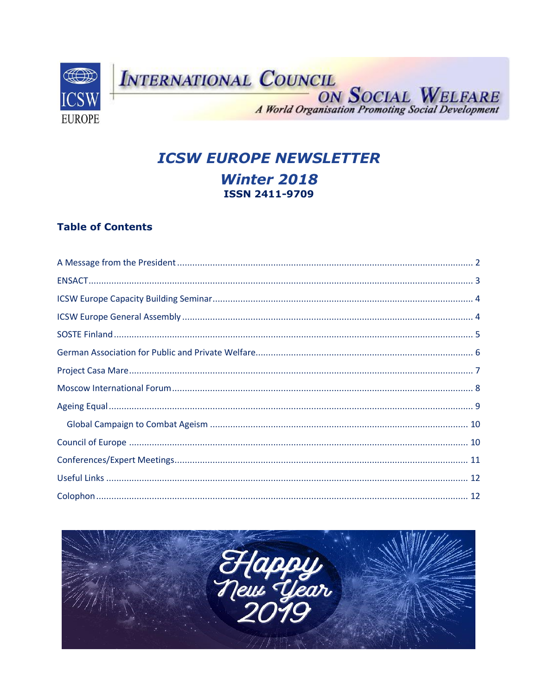

# **ICSW EUROPE NEWSLETTER Winter 2018 ISSN 2411-9709**

### **Table of Contents**

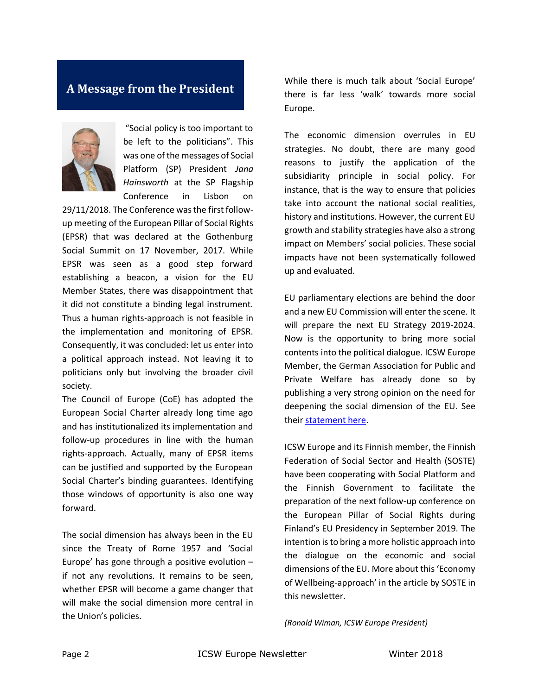## <span id="page-1-0"></span>**A Message from the President**



"Social policy is too important to be left to the politicians". This was one of the messages of Social Platform (SP) President *Jana Hainsworth* at the SP Flagship Conference in Lisbon on

29/11/2018. The Conference was the first followup meeting of the European Pillar of Social Rights (EPSR) that was declared at the Gothenburg Social Summit on 17 November, 2017. While EPSR was seen as a good step forward establishing a beacon, a vision for the EU Member States, there was disappointment that it did not constitute a binding legal instrument. Thus a human rights-approach is not feasible in the implementation and monitoring of EPSR. Consequently, it was concluded: let us enter into a political approach instead. Not leaving it to politicians only but involving the broader civil society.

The Council of Europe (CoE) has adopted the European Social Charter already long time ago and has institutionalized its implementation and follow-up procedures in line with the human rights-approach. Actually, many of EPSR items can be justified and supported by the European Social Charter's binding guarantees. Identifying those windows of opportunity is also one way forward.

The social dimension has always been in the EU since the Treaty of Rome 1957 and 'Social Europe' has gone through a positive evolution – if not any revolutions. It remains to be seen, whether EPSR will become a game changer that will make the social dimension more central in the Union's policies.

While there is much talk about 'Social Europe' there is far less 'walk' towards more social Europe.

The economic dimension overrules in EU strategies. No doubt, there are many good reasons to justify the application of the subsidiarity principle in social policy. For instance, that is the way to ensure that policies take into account the national social realities, history and institutions. However, the current EU growth and stability strategies have also a strong impact on Members' social policies. These social impacts have not been systematically followed up and evaluated.

EU parliamentary elections are behind the door and a new EU Commission will enter the scene. It will prepare the next EU Strategy 2019-2024. Now is the opportunity to bring more social contents into the political dialogue. ICSW Europe Member, the German Association for Public and Private Welfare has already done so by publishing a very strong opinion on the need for deepening the social dimension of the EU. See thei[r statement here.](https://www.deutscher-verein.de/en/uploads/dateien-stab-internationales/dv-18-18-expectations-eu-elections-2019.pdf)

ICSW Europe and its Finnish member, the Finnish Federation of Social Sector and Health (SOSTE) have been cooperating with Social Platform and the Finnish Government to facilitate the preparation of the next follow-up conference on the European Pillar of Social Rights during Finland's EU Presidency in September 2019. The intention is to bring a more holistic approach into the dialogue on the economic and social dimensions of the EU. More about this 'Economy of Wellbeing-approach' in the article by SOSTE in this newsletter.

*(Ronald Wiman, ICSW Europe President)*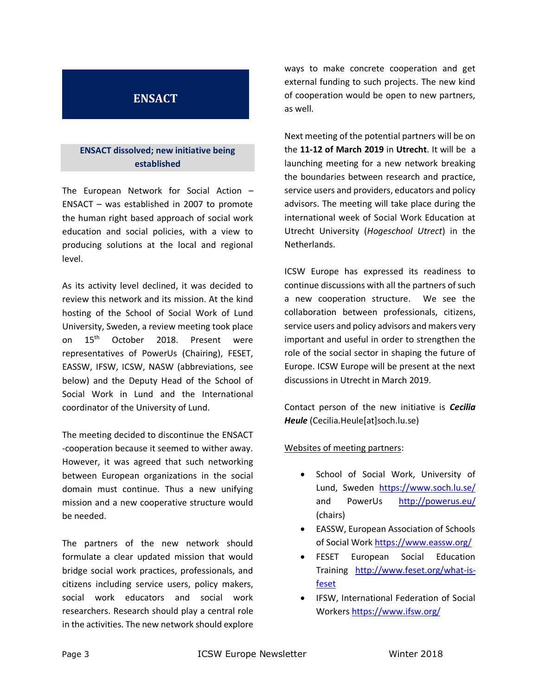# <span id="page-2-0"></span>**ENSACT**

### **ENSACT dissolved; new initiative being established**

The European Network for Social Action – ENSACT – was established in 2007 to promote the human right based approach of social work education and social policies, with a view to producing solutions at the local and regional level.

As its activity level declined, it was decided to review this network and its mission. At the kind hosting of the School of Social Work of Lund University, Sweden, a review meeting took place on 15<sup>th</sup> October 2018. Present were representatives of PowerUs (Chairing), FESET, EASSW, IFSW, ICSW, NASW (abbreviations, see below) and the Deputy Head of the School of Social Work in Lund and the International coordinator of the University of Lund.

The meeting decided to discontinue the ENSACT -cooperation because it seemed to wither away. However, it was agreed that such networking between European organizations in the social domain must continue. Thus a new unifying mission and a new cooperative structure would be needed.

The partners of the new network should formulate a clear updated mission that would bridge social work practices, professionals, and citizens including service users, policy makers, social work educators and social work researchers. Research should play a central role in the activities. The new network should explore

ways to make concrete cooperation and get external funding to such projects. The new kind of cooperation would be open to new partners, as well.

Next meeting of the potential partners will be on the **11-12 of March 2019** in **Utrecht**. It will be a launching meeting for a new network breaking the boundaries between research and practice, service users and providers, educators and policy advisors. The meeting will take place during the international week of Social Work Education at Utrecht University (*Hogeschool Utrect*) in the Netherlands.

ICSW Europe has expressed its readiness to continue discussions with all the partners of such a new cooperation structure. We see the collaboration between professionals, citizens, service users and policy advisors and makers very important and useful in order to strengthen the role of the social sector in shaping the future of Europe. ICSW Europe will be present at the next discussions in Utrecht in March 2019.

Contact person of the new initiative is *Cecilia Heule* (Cecilia.Heule[at]soch.lu.se)

#### Websites of meeting partners:

- School of Social Work, University of Lund, Sweden <https://www.soch.lu.se/> and PowerUs http://powerus.eu/ (chairs)
- EASSW, European Association of Schools of Social Wor[k https://www.eassw.org/](https://www.eassw.org/)
- FESET European Social Education Training [http://www.feset.org/what-is](http://www.feset.org/what-is-feset)[feset](http://www.feset.org/what-is-feset)
- IFSW, International Federation of Social Worker[s https://www.ifsw.org/](https://www.ifsw.org/)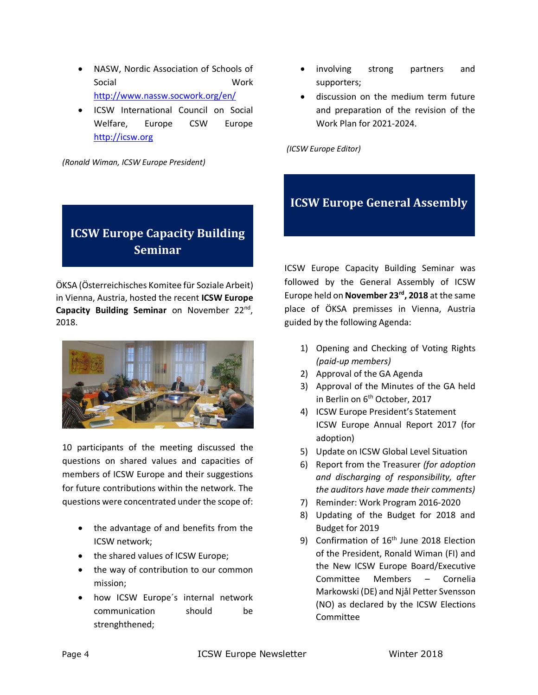- NASW, Nordic Association of Schools of Social Work <http://www.nassw.socwork.org/en/>
- ICSW International Council on Social Welfare, Europe CSW Europe [http://icsw.org](http://icsw.org/)

*(Ronald Wiman, ICSW Europe President)*

# <span id="page-3-0"></span>**ICSW Europe Capacity Building Seminar**

ÖKSA (Österreichisches Komitee für Soziale Arbeit) in Vienna, Austria, hosted the recent **ICSW Europe**  Capacity Building Seminar on November 22<sup>nd</sup>, 2018.



10 participants of the meeting discussed the questions on shared values and capacities of members of ICSW Europe and their suggestions for future contributions within the network. The questions were concentrated under the scope of:

- the advantage of and benefits from the ICSW network;
- the shared values of ICSW Europe;
- the way of contribution to our common mission;
- how ICSW Europe´s internal network communication should be strenghthened;
- involving strong partners and supporters;
- discussion on the medium term future and preparation of the revision of the Work Plan for 2021-2024.

*(ICSW Europe Editor)* 

# <span id="page-3-1"></span>**ICSW Europe General Assembly**

ICSW Europe Capacity Building Seminar was followed by the General Assembly of ICSW Europe held on **November 23rd, 2018** at the same place of ÖKSA premisses in Vienna, Austria guided by the following Agenda:

- 1) Opening and Checking of Voting Rights *(paid-up members)*
- 2) Approval of the GA Agenda
- 3) Approval of the Minutes of the GA held in Berlin on 6<sup>th</sup> October, 2017
- 4) ICSW Europe President's Statement ICSW Europe Annual Report 2017 (for adoption)
- 5) Update on ICSW Global Level Situation
- 6) Report from the Treasurer *(for adoption and discharging of responsibility, after the auditors have made their comments)*
- 7) Reminder: Work Program 2016-2020
- 8) Updating of the Budget for 2018 and Budget for 2019
- 9) Confirmation of 16<sup>th</sup> June 2018 Election of the President, Ronald Wiman (FI) and the New ICSW Europe Board/Executive Committee Members – Cornelia Markowski (DE) and Njål Petter Svensson (NO) as declared by the ICSW Elections Committee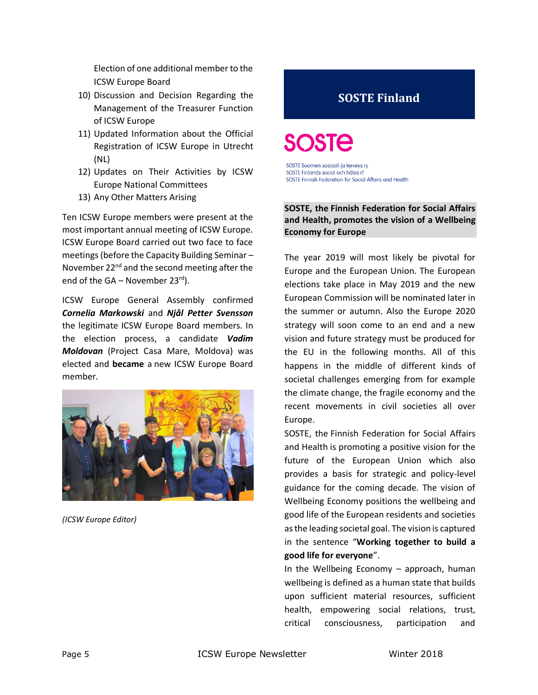Election of one additional member to the ICSW Europe Board

- 10) Discussion and Decision Regarding the Management of the Treasurer Function of ICSW Europe
- 11) Updated Information about the Official Registration of ICSW Europe in Utrecht (NL)
- 12) Updates on Their Activities by ICSW Europe National Committees
- 13) Any Other Matters Arising

Ten ICSW Europe members were present at the most important annual meeting of ICSW Europe. ICSW Europe Board carried out two face to face meetings (before the Capacity Building Seminar – November 22<sup>nd</sup> and the second meeting after the end of the GA – November 23 $rd$ ).

ICSW Europe General Assembly confirmed *Cornelia Markowski* and *Njål Petter Svensson* the legitimate ICSW Europe Board members. In the election process, a candidate *Vadim Moldovan* (Project Casa Mare, Moldova) was elected and **became** a new ICSW Europe Board member.



*(ICSW Europe Editor)* 

# <span id="page-4-0"></span>**SOSTE Finland**

SOSTE Suomen sosiaali ja terveys ry SOSTE Finlands social och hälsa rf SOSTE Finnish Federation for Social Affairs and Health

#### **SOSTE, the Finnish Federation for Social Affairs and Health, promotes the vision of a Wellbeing Economy for Europe**

The year 2019 will most likely be pivotal for Europe and the European Union. The European elections take place in May 2019 and the new European Commission will be nominated later in the summer or autumn. Also the Europe 2020 strategy will soon come to an end and a new vision and future strategy must be produced for the EU in the following months. All of this happens in the middle of different kinds of societal challenges emerging from for example the climate change, the fragile economy and the recent movements in civil societies all over Europe.

SOSTE, the Finnish Federation for Social Affairs and Health is promoting a positive vision for the future of the European Union which also provides a basis for strategic and policy-level guidance for the coming decade. The vision of Wellbeing Economy positions the wellbeing and good life of the European residents and societies as the leading societal goal. The vision is captured in the sentence "**Working together to build a good life for everyone**".

In the Wellbeing Economy – approach, human wellbeing is defined as a human state that builds upon sufficient material resources, sufficient health, empowering social relations, trust, critical consciousness, participation and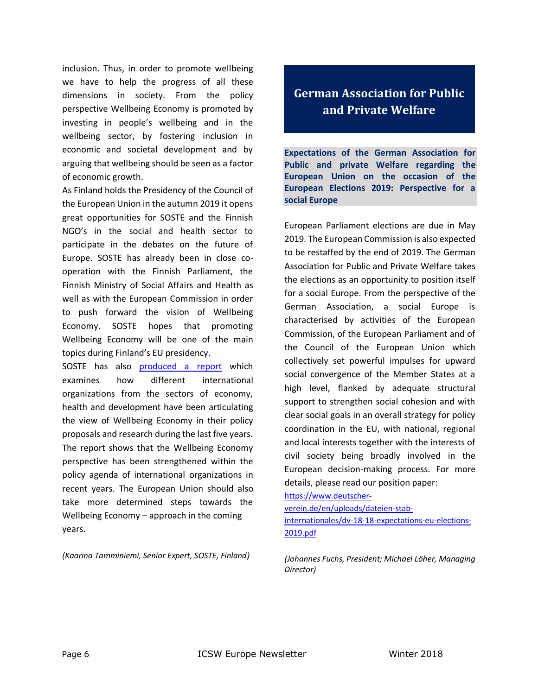inclusion. Thus, in order to promote wellbeing we have to help the progress of all these dimensions in society. From the policy perspective Wellbeing Economy is promoted by investing in people's wellbeing and in the wellbeing sector, by fostering inclusion in economic and societal development and by arguing that wellbeing should be seen as a factor of economic growth.

As Finland holds the Presidency of the Council of the European Union in the autumn 2019 it opens great opportunities for SOSTE and the Finnish NGO's in the social and health sector to participate in the debates on the future of Europe. SOSTE has already been in close cooperation with the Finnish Parliament, the Finnish Ministry of Social Affairs and Health as well as with the European Commission in order to push forward the vision of Wellbeing Economy. SOSTE hopes that promoting Wellbeing Economy will be one of the main topics during Finland's EU presidency.

SOSTE has also [produced a report](http://www.soste.fi/wp-content/uploads/2018/12/soste-stm-wellbeing-economy_report_2018.pdf) which examines how different international organizations from the sectors of economy, health and development have been articulating the view of Wellbeing Economy in their policy proposals and research during the last five years. The report shows that the Wellbeing Economy perspective has been strengthened within the policy agenda of international organizations in recent years. The European Union should also take more determined steps towards the Wellbeing Economy – approach in the coming years.

*(Kaarina Tamminiemi, Senior Expert, SOSTE, Finland)*

# <span id="page-5-0"></span>**German Association for Public and Private Welfare**

**Expectations of the German Association for Public and private Welfare regarding the European Union on the occasion of the European Elections 2019: Perspective for a social Europe**

European Parliament elections are due in May 2019. The European Commission is also expected to be restaffed by the end of 2019. The German Association for Public and Private Welfare takes the elections as an opportunity to position itself for a social Europe. From the perspective of the German Association, a social Europe is characterised by activities of the European Commission, of the European Parliament and of the Council of the European Union which collectively set powerful impulses for upward social convergence of the Member States at a high level, flanked by adequate structural support to strengthen social cohesion and with clear social goals in an overall strategy for policy coordination in the EU, with national, regional and local interests together with the interests of civil society being broadly involved in the European decision-making process. For more details, please read our position paper:

#### [https://www.deutscher-](https://www.deutscher-verein.de/en/uploads/dateien-stab-internationales/dv-18-18-expectations-eu-elections-2019.pdf)

[verein.de/en/uploads/dateien-stab](https://www.deutscher-verein.de/en/uploads/dateien-stab-internationales/dv-18-18-expectations-eu-elections-2019.pdf)[internationales/dv-18-18-expectations-eu-elections-](https://www.deutscher-verein.de/en/uploads/dateien-stab-internationales/dv-18-18-expectations-eu-elections-2019.pdf)[2019.pdf](https://www.deutscher-verein.de/en/uploads/dateien-stab-internationales/dv-18-18-expectations-eu-elections-2019.pdf)

*(Johannes Fuchs, President; Michael Löher, Managing Director)*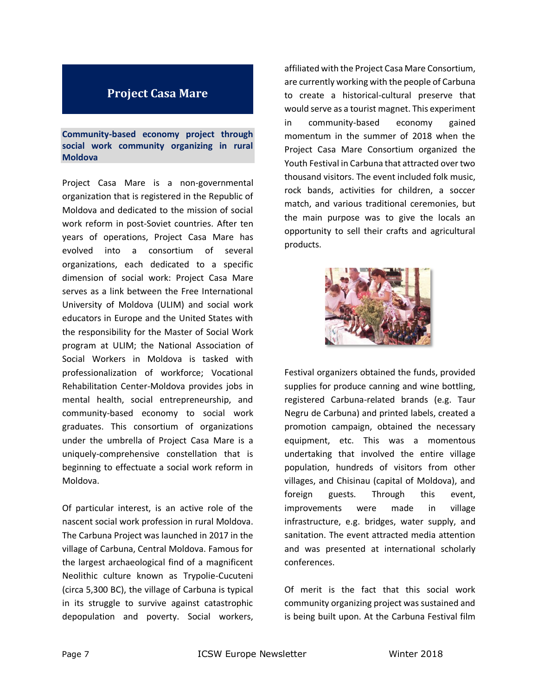### <span id="page-6-0"></span>**Project Casa Mare**

**Community-based economy project through social work community organizing in rural Moldova**

Project Casa Mare is a non-governmental organization that is registered in the Republic of Moldova and dedicated to the mission of social work reform in post-Soviet countries. After ten years of operations, Project Casa Mare has evolved into a consortium of several organizations, each dedicated to a specific dimension of social work: Project Casa Mare serves as a link between the Free International University of Moldova (ULIM) and social work educators in Europe and the United States with the responsibility for the Master of Social Work program at ULIM; the National Association of Social Workers in Moldova is tasked with professionalization of workforce; Vocational Rehabilitation Center-Moldova provides jobs in mental health, social entrepreneurship, and community-based economy to social work graduates. This consortium of organizations under the umbrella of Project Casa Mare is a uniquely-comprehensive constellation that is beginning to effectuate a social work reform in Moldova.

Of particular interest, is an active role of the nascent social work profession in rural Moldova. The Carbuna Project was launched in 2017 in the village of Carbuna, Central Moldova. Famous for the largest archaeological find of a magnificent Neolithic culture known as Trypolie-Cucuteni (circa 5,300 BC), the village of Carbuna is typical in its struggle to survive against catastrophic depopulation and poverty. Social workers,

affiliated with the Project Casa Mare Consortium, are currently working with the people of Carbuna to create a historical-cultural preserve that would serve as a tourist magnet. This experiment in community-based economy gained momentum in the summer of 2018 when the Project Casa Mare Consortium organized the Youth Festival in Carbuna that attracted over two thousand visitors. The event included folk music, rock bands, activities for children, a soccer match, and various traditional ceremonies, but the main purpose was to give the locals an opportunity to sell their crafts and agricultural products.



Festival organizers obtained the funds, provided supplies for produce canning and wine bottling, registered Carbuna-related brands (e.g. Taur Negru de Carbuna) and printed labels, created a promotion campaign, obtained the necessary equipment, etc. This was a momentous undertaking that involved the entire village population, hundreds of visitors from other villages, and Chisinau (capital of Moldova), and foreign guests. Through this event, improvements were made in village infrastructure, e.g. bridges, water supply, and sanitation. The event attracted media attention and was presented at international scholarly conferences.

Of merit is the fact that this social work community organizing project was sustained and is being built upon. At the Carbuna Festival film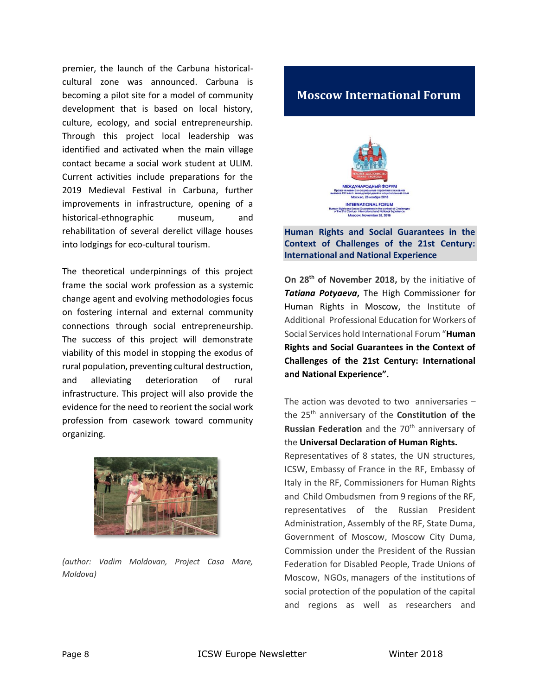premier, the launch of the Carbuna historicalcultural zone was announced. Carbuna is becoming a pilot site for a model of community development that is based on local history, culture, ecology, and social entrepreneurship. Through this project local leadership was identified and activated when the main village contact became a social work student at ULIM. Current activities include preparations for the 2019 Medieval Festival in Carbuna, further improvements in infrastructure, opening of a historical-ethnographic museum, and rehabilitation of several derelict village houses into lodgings for eco-cultural tourism.

The theoretical underpinnings of this project frame the social work profession as a systemic change agent and evolving methodologies focus on fostering internal and external community connections through social entrepreneurship. The success of this project will demonstrate viability of this model in stopping the exodus of rural population, preventing cultural destruction, and alleviating deterioration of rural infrastructure. This project will also provide the evidence for the need to reorient the social work profession from casework toward community organizing.



*(author: Vadim Moldovan, Project Casa Mare, Moldova)*

# <span id="page-7-0"></span>**Moscow International Forum**



**Human Rights and Social Guarantees in the Context of Challenges of the 21st Century: International and National Experience** 

**On 28th of November 2018,** by the initiative of *Tatiana Potyaeva***,** The High Commissioner for Human Rights in Moscow, the Institute of Additional Professional Education for Workers of Social Services hold International Forum "**Human Rights and Social Guarantees in the Context of Challenges of the 21st Century: International and National Experience".** 

The action was devoted to two anniversaries – the 25th anniversary of the **Constitution of the Russian Federation** and the 70<sup>th</sup> anniversary of the **Universal Declaration of Human Rights.**

Representatives of 8 states, the UN structures, ICSW, Embassy of France in the RF, Embassy of Italy in the RF, Commissioners for Human Rights and Child Ombudsmen from 9 regions of the RF, representatives of the Russian President Administration, Assembly of the RF, State Duma, Government of Moscow, Moscow City Duma, Commission under the President of the Russian Federation for Disabled People, Trade Unions of Moscow, NGOs, managers of the institutions of social protection of the population of the capital and regions as well as researchers and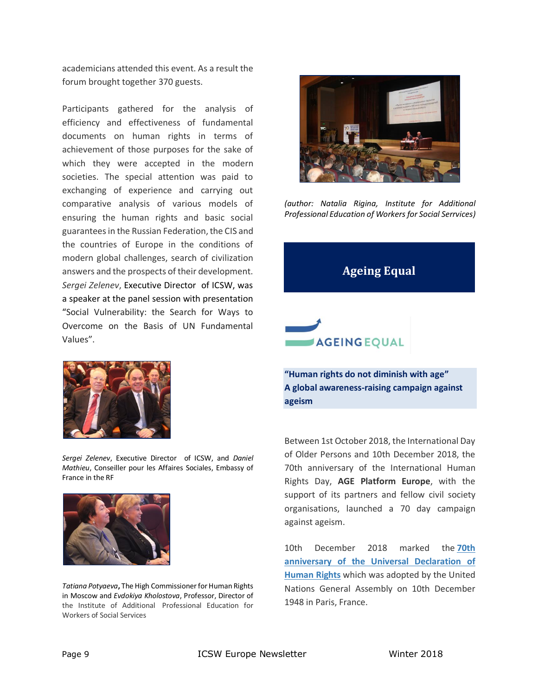academicians attended this event. As a result the forum brought together 370 guests.

Participants gathered for the analysis of efficiency and effectiveness of fundamental documents on human rights in terms of achievement of those purposes for the sake of which they were accepted in the modern societies. The special attention was paid to exchanging of experience and carrying out comparative analysis of various models of ensuring the human rights and basic social guarantees in the Russian Federation, the CIS and the countries of Europe in the conditions of modern global challenges, search of civilization answers and the prospects of their development. *Sergei Zelenev*, Executive Director of ICSW, was a speaker at the panel session with presentation "Social Vulnerability: the Search for Ways to Overcome on the Basis of UN Fundamental Values".



*Sergei Zelenev*, Executive Director of ICSW, and *Daniel Mathieu*, Conseiller pour les Affaires Sociales, Embassy of France in the RF



*Tatiana Potyaeva***,** The High Commissioner for Human Rights in Moscow and *Evdokiya Kholostova*, Professor, Director of the Institute of Additional Professional Education for Workers of Social Services



*(author: Natalia Rigina, Institute for Additional Professional Education of Workers for Social Serrvices)*

# <span id="page-8-0"></span>**Ageing Equal**



**"Human rights do not diminish with age" A global awareness-raising campaign against ageism**

Between 1st October 2018, the International Day of Older Persons and 10th December 2018, the 70th anniversary of the International Human Rights Day, **AGE Platform Europe**, with the support of its partners and fellow civil society organisations, launched a 70 day campaign against ageism.

10th December 2018 marked the **[70th](https://www.ohchr.org/EN/NewsEvents/Pages/UDHR70.aspx)  [anniversary of the Universal Declaration of](https://www.ohchr.org/EN/NewsEvents/Pages/UDHR70.aspx)  [Human Rights](https://www.ohchr.org/EN/NewsEvents/Pages/UDHR70.aspx)** which was adopted by the United Nations General Assembly on 10th December 1948 in Paris, France.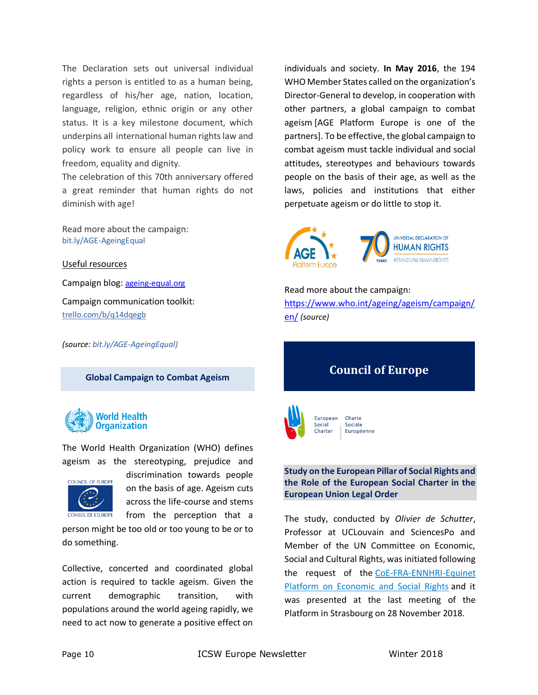The Declaration sets out universal individual rights a person is entitled to as a human being, regardless of his/her age, nation, location, language, religion, ethnic origin or any other status. It is a key milestone document, which underpins all international human rights law and policy work to ensure all people can live in freedom, equality and dignity.

The celebration of this 70th anniversary offered a great reminder that human rights do not diminish with age!

Read more about the campaign: [bit.ly/AGE-AgeingEqual](http://bit.ly/AGE-AgeingEqual)

Useful resources

Campaign blog: [ageing-equal.org](ICSW%20Europe%20Winter%202018%20Newsletter.docx)

Campaign communication toolkit: [trello.com/b/q14dqegb](https://trello.com/b/q14dqegb)

*(source[: bit.ly/AGE-AgeingEqual\)](http://bit.ly/AGE-AgeingEqual)*

<span id="page-9-0"></span>**Global Campaign to Combat Ageism**



The World Health Organization (WHO) defines ageism as the stereotyping, prejudice and



discrimination towards people on the basis of age. Ageism cuts across the life-course and stems from the perception that a

person might be too old or too young to be or to do something.

Collective, concerted and coordinated global action is required to tackle ageism. Given the current demographic transition, with populations around the world ageing rapidly, we need to act now to generate a positive effect on

individuals and society. **In May 2016**, the 194 WHO Member States called on the organization's Director-General to develop, in cooperation with other partners, a global campaign to combat ageism [AGE Platform Europe is one of the partners]. To be effective, the global campaign to combat ageism must tackle individual and social attitudes, stereotypes and behaviours towards people on the basis of their age, as well as the laws, policies and institutions that either perpetuate ageism or do little to stop it.



Read more about the campaign: [https://www.who.int/ageing/ageism/campaign/](https://www.who.int/ageing/ageism/campaign/en/) [en/](https://www.who.int/ageing/ageism/campaign/en/) *(source)*

# <span id="page-9-1"></span>**Council of Europe**



Charte Sociale Européenne

#### **Study on the European Pillar of Social Rights and the Role of the European Social Charter in the European Union Legal Order**

The study, conducted by *Olivier de Schutter*, Professor at UCLouvain and SciencesPo and Member of the UN Committee on Economic, Social and Cultural Rights, was initiated following the request of the [CoE-FRA-ENNHRI-Equinet](https://www.coe.int/web/turin-european-social-charter/coe-fra-ennhri-equinet)  [Platform on Economic and Social Rights](https://www.coe.int/web/turin-european-social-charter/coe-fra-ennhri-equinet) and it was presented at the last meeting of the Platform in Strasbourg on 28 November 2018.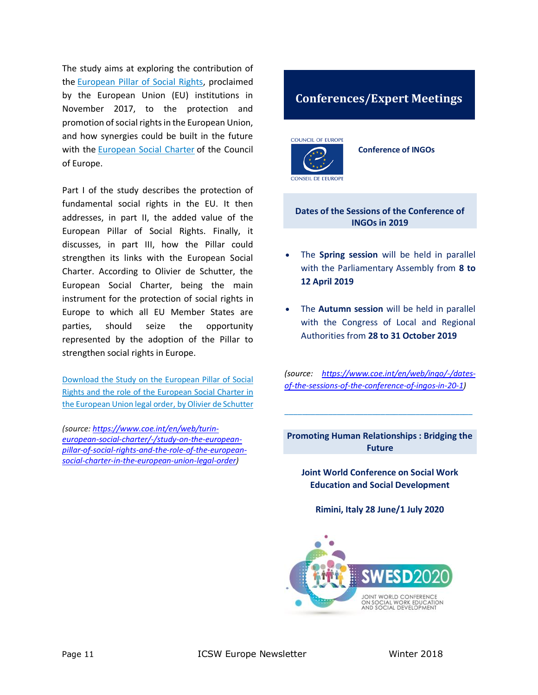The study aims at exploring the contribution of the [European Pillar of Social Rights,](https://ec.europa.eu/commission/priorities/deeper-and-fairer-economic-and-monetary-union/european-pillar-social-rights_en) proclaimed by the European Union (EU) institutions in November 2017, to the protection and promotion of social rights in the European Union, and how synergies could be built in the future with the **[European Social Charter](https://www.coe.int/web/turin-european-social-charter/about-the-charter)** of the Council of Europe.

Part I of the study describes the protection of fundamental social rights in the EU. It then addresses, in part II, the added value of the European Pillar of Social Rights. Finally, it discusses, in part III, how the Pillar could strengthen its links with the European Social Charter. According to Olivier de Schutter, the European Social Charter, being the main instrument for the protection of social rights in Europe to which all EU Member States are parties, should seize the opportunity represented by the adoption of the Pillar to strengthen social rights in Europe.

[Download the Study on the European Pillar of Social](https://rm.coe.int/study-on-the-european-pillar-of-social-rights-and-the-role-of-the-esc-/1680903132)  [Rights and the role of the European Social Charter in](https://rm.coe.int/study-on-the-european-pillar-of-social-rights-and-the-role-of-the-esc-/1680903132)  [the European Union legal order,](https://rm.coe.int/study-on-the-european-pillar-of-social-rights-and-the-role-of-the-esc-/1680903132) by Olivier de Schutter

*(source[: https://www.coe.int/en/web/turin](https://www.coe.int/en/web/turin-european-social-charter/-/study-on-the-european-pillar-of-social-rights-and-the-role-of-the-european-social-charter-in-the-european-union-legal-order)[european-social-charter/-/study-on-the-european](https://www.coe.int/en/web/turin-european-social-charter/-/study-on-the-european-pillar-of-social-rights-and-the-role-of-the-european-social-charter-in-the-european-union-legal-order)[pillar-of-social-rights-and-the-role-of-the-european](https://www.coe.int/en/web/turin-european-social-charter/-/study-on-the-european-pillar-of-social-rights-and-the-role-of-the-european-social-charter-in-the-european-union-legal-order)[social-charter-in-the-european-union-legal-order\)](https://www.coe.int/en/web/turin-european-social-charter/-/study-on-the-european-pillar-of-social-rights-and-the-role-of-the-european-social-charter-in-the-european-union-legal-order)*

### <span id="page-10-0"></span>**Conferences/Expert Meetings**

**COUNCIL OF EUROPE** 

**Conference of INGOs**

**Dates of the Sessions of the Conference of INGOs in 2019**

- The **Spring session** will be held in parallel with the Parliamentary Assembly from **8 to 12 April 2019**
- The **Autumn session** will be held in parallel with the Congress of Local and Regional Authorities from **28 to 31 October 2019**

*(source: [https://www.coe.int/en/web/ingo/-/dates](https://www.coe.int/en/web/ingo/-/dates-of-the-sessions-of-the-conference-of-ingos-in-20-1)[of-the-sessions-of-the-conference-of-ingos-in-20-1\)](https://www.coe.int/en/web/ingo/-/dates-of-the-sessions-of-the-conference-of-ingos-in-20-1)*

**Promoting Human Relationships : Bridging the Future**

\_\_\_\_\_\_\_\_\_\_\_\_\_\_\_\_\_\_\_\_\_\_\_\_\_\_\_\_\_\_\_\_\_\_\_\_\_\_\_\_\_\_\_

**Joint World Conference on Social Work Education and Social Development**

**Rimini, Italy 28 June/1 July 2020**